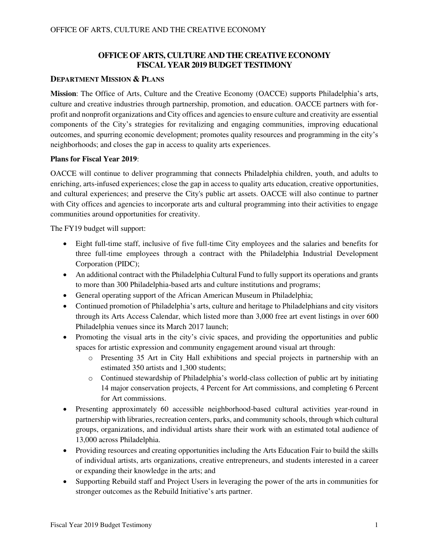## **OFFICE OF ARTS, CULTURE AND THE CREATIVE ECONOMY FISCAL YEAR 2019 BUDGET TESTIMONY**

## **DEPARTMENT MISSION & PLANS**

**Mission**: The Office of Arts, Culture and the Creative Economy (OACCE) supports Philadelphia's arts, culture and creative industries through partnership, promotion, and education. OACCE partners with forprofit and nonprofit organizations and City offices and agencies to ensure culture and creativity are essential components of the City's strategies for revitalizing and engaging communities, improving educational outcomes, and spurring economic development; promotes quality resources and programming in the city's neighborhoods; and closes the gap in access to quality arts experiences.

### **Plans for Fiscal Year 2019**:

OACCE will continue to deliver programming that connects Philadelphia children, youth, and adults to enriching, arts-infused experiences; close the gap in access to quality arts education, creative opportunities, and cultural experiences; and preserve the City's public art assets. OACCE will also continue to partner with City offices and agencies to incorporate arts and cultural programming into their activities to engage communities around opportunities for creativity.

The FY19 budget will support:

- Eight full-time staff, inclusive of five full-time City employees and the salaries and benefits for three full-time employees through a contract with the Philadelphia Industrial Development Corporation (PIDC);
- An additional contract with the Philadelphia Cultural Fund to fully support its operations and grants to more than 300 Philadelphia-based arts and culture institutions and programs;
- General operating support of the African American Museum in Philadelphia;
- Continued promotion of Philadelphia's arts, culture and heritage to Philadelphians and city visitors through its Arts Access Calendar, which listed more than 3,000 free art event listings in over 600 Philadelphia venues since its March 2017 launch;
- Promoting the visual arts in the city's civic spaces, and providing the opportunities and public spaces for artistic expression and community engagement around visual art through:
	- o Presenting 35 Art in City Hall exhibitions and special projects in partnership with an estimated 350 artists and 1,300 students;
	- o Continued stewardship of Philadelphia's world-class collection of public art by initiating 14 major conservation projects, 4 Percent for Art commissions, and completing 6 Percent for Art commissions.
- Presenting approximately 60 accessible neighborhood-based cultural activities year-round in partnership with libraries, recreation centers, parks, and community schools, through which cultural groups, organizations, and individual artists share their work with an estimated total audience of 13,000 across Philadelphia.
- Providing resources and creating opportunities including the Arts Education Fair to build the skills of individual artists, arts organizations, creative entrepreneurs, and students interested in a career or expanding their knowledge in the arts; and
- Supporting Rebuild staff and Project Users in leveraging the power of the arts in communities for stronger outcomes as the Rebuild Initiative's arts partner.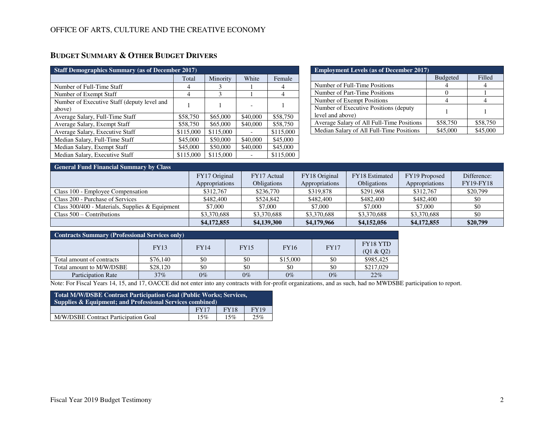## **BUDGET SUMMARY & OTHER BUDGET DRIVERS**

| <b>Staff Demographics Summary (as of December 2017)</b> |           |           |          |           |  |
|---------------------------------------------------------|-----------|-----------|----------|-----------|--|
|                                                         | Total     | Minority  | White    | Female    |  |
| Number of Full-Time Staff                               |           | 3         |          |           |  |
| Number of Exempt Staff                                  | 4         | 3         |          | 4         |  |
| Number of Executive Staff (deputy level and<br>above)   |           |           |          |           |  |
| Average Salary, Full-Time Staff                         | \$58,750  | \$65,000  | \$40,000 | \$58,750  |  |
| Average Salary, Exempt Staff                            | \$58,750  | \$65,000  | \$40,000 | \$58,750  |  |
| Average Salary, Executive Staff                         | \$115,000 | \$115,000 |          | \$115,000 |  |
| Median Salary, Full-Time Staff                          | \$45,000  | \$50,000  | \$40,000 | \$45,000  |  |
| Median Salary, Exempt Staff                             | \$45,000  | \$50,000  | \$40,000 | \$45,000  |  |
| Median Salary, Executive Staff                          | \$115,000 | \$115,000 |          | \$115,000 |  |

| <b>Employment Levels (as of December 2017)</b> |                 |          |  |  |  |
|------------------------------------------------|-----------------|----------|--|--|--|
|                                                | <b>Budgeted</b> | Filled   |  |  |  |
| Number of Full-Time Positions                  |                 |          |  |  |  |
| Number of Part-Time Positions                  |                 |          |  |  |  |
| Number of Exempt Positions                     |                 |          |  |  |  |
| Number of Executive Positions (deputy)         |                 |          |  |  |  |
| level and above)                               |                 |          |  |  |  |
| Average Salary of All Full-Time Positions      | \$58,750        | \$58,750 |  |  |  |
| Median Salary of All Full-Time Positions       | \$45,000        |          |  |  |  |

| <b>General Fund Financial Summary by Class</b>    |                |                    |                |                |                |                  |  |
|---------------------------------------------------|----------------|--------------------|----------------|----------------|----------------|------------------|--|
|                                                   | FY17 Original  | FY17 Actual        | FY18 Original  | FY18 Estimated | FY19 Proposed  | Difference:      |  |
|                                                   | Appropriations | <b>Obligations</b> | Appropriations | Obligations    | Appropriations | <b>FY19-FY18</b> |  |
| Class 100 - Employee Compensation                 | \$312,767      | \$236,770          | \$319,878      | \$291.968      | \$312,767      | \$20,799         |  |
| Class 200 - Purchase of Services                  | \$482,400      | \$524,842          | \$482,400      | \$482,400      | \$482,400      | \$0              |  |
| Class $300/400$ - Materials, Supplies & Equipment | \$7,000        | \$7,000            | \$7,000        | \$7,000        | \$7,000        | \$0              |  |
| Class $500 -$ Contributions                       | \$3,370,688    | \$3,370,688        | \$3,370,688    | \$3,370,688    | \$3,370,688    | \$0              |  |
|                                                   | \$4,172,855    | \$4,139,300        | \$4,179,966    | \$4,152,056    | \$4,172,855    | \$20,799         |  |

| <b>Contracts Summary (Professional Services only)</b> |             |             |             |             |             |                       |  |
|-------------------------------------------------------|-------------|-------------|-------------|-------------|-------------|-----------------------|--|
|                                                       | <b>FY13</b> | <b>FY14</b> | <b>FY15</b> | <b>FY16</b> | <b>FY17</b> | FY18 YTD<br>(Q1 & Q2) |  |
| Total amount of contracts                             | \$76,140    | \$0         | \$0         | \$15,000    | \$0         | \$985,425             |  |
| Total amount to M/W/DSBE                              | \$28,120    | \$0         | \$0         | \$0         | \$0         | \$217,029             |  |
| <b>Participation Rate</b>                             | 37%         | $0\%$       | $0\%$       | $0\%$       | $0\%$       | 22%                   |  |

Note: For Fiscal Years 14, 15, and 17, OACCE did not enter into any contracts with for-profit organizations, and as such, had no MWDSBE participation to report.

| Total M/W/DSBE Contract Participation Goal (Public Works; Services,<br><b>Supplies &amp; Equipment; and Professional Services combined)</b> |  |  |  |  |  |
|---------------------------------------------------------------------------------------------------------------------------------------------|--|--|--|--|--|
| <b>FY18</b><br><b>FY19</b><br><b>FY17</b>                                                                                                   |  |  |  |  |  |
| M/W/DSBE Contract Participation Goal<br>15%<br>25%<br>15%                                                                                   |  |  |  |  |  |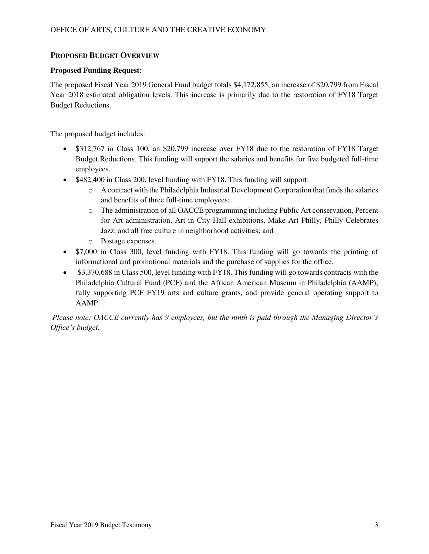## **PROPOSED BUDGET OVERVIEW**

## **Proposed Funding Request**:

The proposed Fiscal Year 2019 General Fund budget totals \$4,172,855, an increase of \$20,799 from Fiscal Year 2018 estimated obligation levels. This increase is primarily due to the restoration of FY18 Target Budget Reductions.

The proposed budget includes:

- \$312,767 in Class 100, an \$20,799 increase over FY18 due to the restoration of FY18 Target Budget Reductions. This funding will support the salaries and benefits for five budgeted full-time employees.
- \$482,400 in Class 200, level funding with FY18. This funding will support:
	- o A contract with the Philadelphia Industrial Development Corporation that funds the salaries and benefits of three full-time employees;
	- o The administration of all OACCE programming including Public Art conservation, Percent for Art administration, Art in City Hall exhibitions, Make Art Philly, Philly Celebrates Jazz, and all free culture in neighborhood activities; and
	- o Postage expenses.
- \$7,000 in Class 300, level funding with FY18. This funding will go towards the printing of informational and promotional materials and the purchase of supplies for the office.
- \$3,370,688 in Class 500, level funding with FY18. This funding will go towards contracts with the Philadelphia Cultural Fund (PCF) and the African American Museum in Philadelphia (AAMP), fully supporting PCF FY19 arts and culture grants, and provide general operating support to AAMP.

*Please note: OACCE currently has 9 employees, but the ninth is paid through the Managing Director's Office's budget.*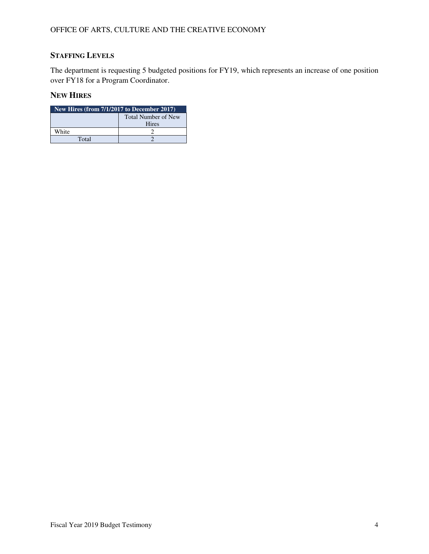# **STAFFING LEVELS**

The department is requesting 5 budgeted positions for FY19, which represents an increase of one position over FY18 for a Program Coordinator.

## **NEW HIRES**

| New Hires (from 7/1/2017 to December 2017) |  |  |  |
|--------------------------------------------|--|--|--|
| Total Number of New                        |  |  |  |
| <b>Hires</b>                               |  |  |  |
| White                                      |  |  |  |
| Total                                      |  |  |  |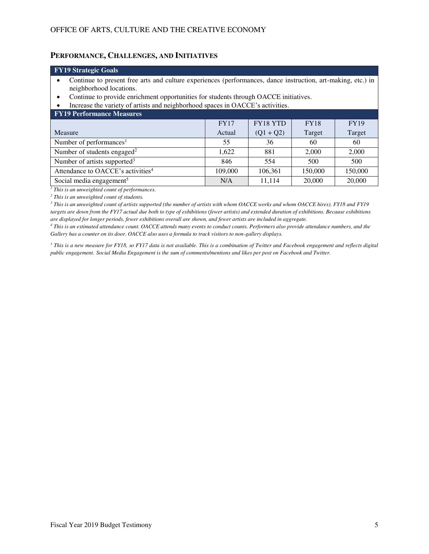## **PERFORMANCE, CHALLENGES, AND INITIATIVES**

| <b>FY19 Strategic Goals</b>                                                                                                                                                                                                                                                                                            |                                                              |             |        |        |  |  |  |
|------------------------------------------------------------------------------------------------------------------------------------------------------------------------------------------------------------------------------------------------------------------------------------------------------------------------|--------------------------------------------------------------|-------------|--------|--------|--|--|--|
| Continue to present free arts and culture experiences (performances, dance instruction, art-making, etc.) in<br>neighborhood locations.<br>Continue to provide enrichment opportunities for students through OACCE initiatives.<br>٠<br>Increase the variety of artists and neighborhood spaces in OACCE's activities. |                                                              |             |        |        |  |  |  |
| <b>FY19 Performance Measures</b>                                                                                                                                                                                                                                                                                       |                                                              |             |        |        |  |  |  |
|                                                                                                                                                                                                                                                                                                                        | <b>FY18 YTD</b><br><b>FY18</b><br><b>FY17</b><br><b>FY19</b> |             |        |        |  |  |  |
| Measure                                                                                                                                                                                                                                                                                                                | Actual                                                       | $(Q1 + Q2)$ | Target | Target |  |  |  |
| Number of performances <sup>1</sup>                                                                                                                                                                                                                                                                                    | 55                                                           | 36          | 60     | 60     |  |  |  |
| Number of students engaged <sup>2</sup><br>1,622<br>881<br>2,000<br>2,000                                                                                                                                                                                                                                              |                                                              |             |        |        |  |  |  |
| Number of artists supported <sup>3</sup><br>846<br>554<br>500<br>500                                                                                                                                                                                                                                                   |                                                              |             |        |        |  |  |  |
| Attendance to OACCE's activities <sup>4</sup><br>109,000<br>106,361<br>150,000<br>150,000                                                                                                                                                                                                                              |                                                              |             |        |        |  |  |  |
| Social media engagement <sup>5</sup><br>11,114<br>20,000<br>20,000<br>N/A                                                                                                                                                                                                                                              |                                                              |             |        |        |  |  |  |

*1 This is an unweighted count of performances.* 

*2 This is an unweighted count of students.* 

*3 This is an unweighted count of artists supported (the number of artists with whom OACCE works and whom OACCE hires). FY18 and FY19 targets are down from the FY17 actual due both to type of exhibitions (fewer artists) and extended duration of exhibitions. Because exhibitions are displayed for longer periods, fewer exhibitions overall are shown, and fewer artists are included in aggregate.* 

*4 This is an estimated attendance count. OACCE attends many events to conduct counts. Performers also provide attendance numbers, and the Gallery has a counter on its door. OACCE also uses a formula to track visitors to non-gallery displays.* 

<sup>5</sup> This is a new measure for FY18, so FY17 data is not available. This is a combination of Twitter and Facebook engagement and reflects digital *public engagement. Social Media Engagement is the sum of comments/mentions and likes per post on Facebook and Twitter.*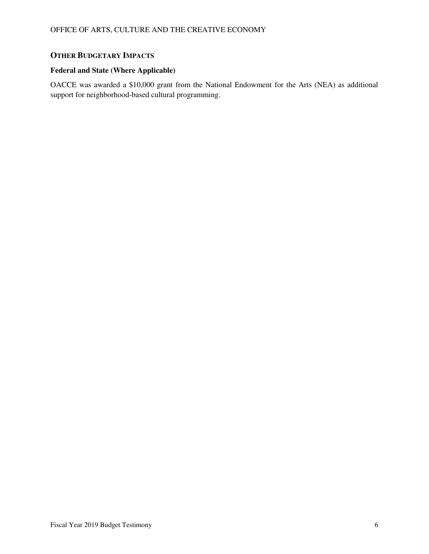## **OTHER BUDGETARY IMPACTS**

## **Federal and State (Where Applicable)**

OACCE was awarded a \$10,000 grant from the National Endowment for the Arts (NEA) as additional support for neighborhood-based cultural programming.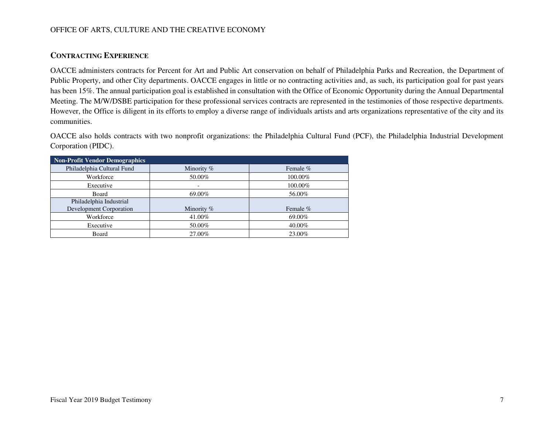### OFFICE OF ARTS, CULTURE AND THE CREATIVE ECONOMY

## **CONTRACTING EXPERIENCE**

OACCE administers contracts for Percent for Art and Public Art conservation on behalf of Philadelphia Parks and Recreation, the Department of Public Property, and other City departments. OACCE engages in little or no contracting activities and, as such, its participation goal for past years has been 15%. The annual participation goal is established in consultation with the Office of Economic Opportunity during the Annual Departmental Meeting. The M/W/DSBE participation for these professional services contracts are represented in the testimonies of those respective departments. However, the Office is diligent in its efforts to employ a diverse range of individuals artists and arts organizations representative of the city and its communities.

OACCE also holds contracts with two nonprofit organizations: the Philadelphia Cultural Fund (PCF), the Philadelphia Industrial Development Corporation (PIDC).

| <b>Non-Profit Vendor Demographics</b> |            |          |
|---------------------------------------|------------|----------|
| Philadelphia Cultural Fund            | Minority % | Female % |
| Workforce                             | 50.00%     | 100.00%  |
| Executive                             |            | 100.00%  |
| Board                                 | 69.00%     | 56.00%   |
| Philadelphia Industrial               |            |          |
| Development Corporation               | Minority % | Female % |
| Workforce                             | 41.00%     | 69.00%   |
| Executive                             | 50.00%     | 40.00%   |
| Board                                 | 27.00%     | 23.00%   |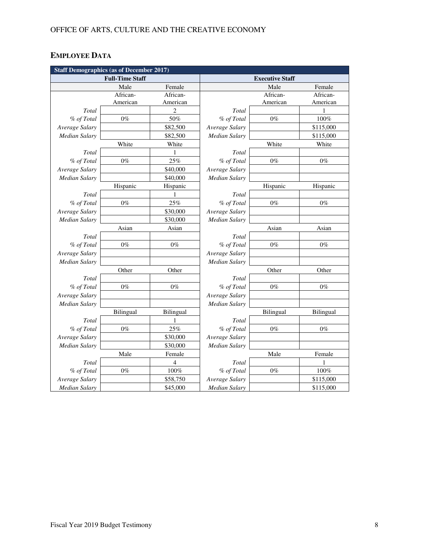# **EMPLOYEE DATA**

| <b>Staff Demographics (as of December 2017)</b> |                        |                |                      |                        |           |  |
|-------------------------------------------------|------------------------|----------------|----------------------|------------------------|-----------|--|
|                                                 | <b>Full-Time Staff</b> |                |                      | <b>Executive Staff</b> |           |  |
|                                                 | Male                   | Female         |                      | Male                   | Female    |  |
|                                                 | African-               | African-       |                      | African-               | African-  |  |
|                                                 | American               | American       |                      | American               | American  |  |
| Total                                           |                        | $\overline{c}$ | Total                |                        | 1         |  |
| % of Total                                      | $0\%$                  | 50%            | % of Total           | $0\%$                  | 100%      |  |
| Average Salary                                  |                        | \$82,500       | Average Salary       |                        | \$115,000 |  |
| <b>Median Salary</b>                            |                        | \$82,500       | <b>Median Salary</b> |                        | \$115,000 |  |
|                                                 | White                  | White          |                      | White                  | White     |  |
| Total                                           |                        | 1              | Total                |                        |           |  |
| % of Total                                      | $0\%$                  | 25%            | % of Total           | $0\%$                  | $0\%$     |  |
| Average Salary                                  |                        | \$40,000       | Average Salary       |                        |           |  |
| <b>Median Salary</b>                            |                        | \$40,000       | Median Salary        |                        |           |  |
|                                                 | Hispanic               | Hispanic       |                      | Hispanic               | Hispanic  |  |
| Total                                           |                        | 1              | Total                |                        |           |  |
| % of Total                                      | $0\%$                  | 25%            | % of Total           | $0\%$                  | $0\%$     |  |
| Average Salary                                  |                        | \$30,000       | Average Salary       |                        |           |  |
| <b>Median Salary</b>                            |                        | \$30,000       | <b>Median Salary</b> |                        |           |  |
|                                                 | Asian                  | Asian          |                      | Asian                  | Asian     |  |
| Total                                           |                        |                | Total                |                        |           |  |
| % of Total                                      | $0\%$                  | $0\%$          | % of Total           | $0\%$                  | $0\%$     |  |
| Average Salary                                  |                        |                | Average Salary       |                        |           |  |
| <b>Median Salary</b>                            |                        |                | <b>Median Salary</b> |                        |           |  |
|                                                 | Other                  | Other          |                      | Other                  | Other     |  |
| Total                                           |                        |                | Total                |                        |           |  |
| % of Total                                      | $0\%$                  | $0\%$          | % of Total           | $0\%$                  | $0\%$     |  |
| Average Salary                                  |                        |                | Average Salary       |                        |           |  |
| Median Salary                                   |                        |                | Median Salary        |                        |           |  |
|                                                 | Bilingual              | Bilingual      |                      | Bilingual              | Bilingual |  |
| Total                                           |                        | 1              | Total                |                        |           |  |
| % of Total                                      | $0\%$                  | 25%            | % of Total           | $0\%$                  | $0\%$     |  |
| Average Salary                                  |                        | \$30,000       | Average Salary       |                        |           |  |
| <b>Median Salary</b>                            |                        | \$30,000       | <b>Median Salary</b> |                        |           |  |
|                                                 | Male                   | Female         |                      | Male                   | Female    |  |
| Total                                           |                        | 4              | Total                |                        | 1         |  |
| % of Total                                      | $0\%$                  | 100%           | % of Total           | $0\%$                  | 100%      |  |
| Average Salary                                  |                        | \$58,750       | Average Salary       |                        | \$115,000 |  |
| Median Salary                                   |                        | \$45,000       | <b>Median Salary</b> |                        | \$115,000 |  |